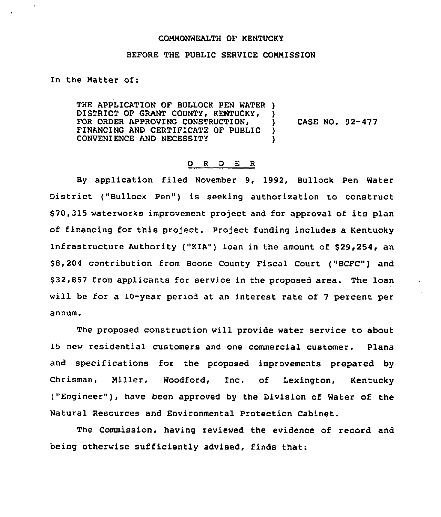## COMMONWEALTH OF KENTUCKY

## BEFORE THE PUBLIC SERVICE CONMISSION

## In the Natter of:

THE APPLICATION OF BULLOCK PEN WATER ) DISTRICT OF GRANT COUNTY, KENTUCKY, FOR ORDER APPROVING CONSTRUCTION, )<br>FINANCING AND CERTIFICATE OF PUBLIC ) FINANCING AND CERTIFICATE OF PUBLIC )<br>CONVENIENCE AND NECESSITY () CONVENIENCE AND NECESSITY ) CASE NO. 92-477

## 0 <sup>R</sup> <sup>D</sup> E <sup>R</sup>

By application filed November 9, 1992, Bullock Pen Water District {"Bullock Pen") is seeking authorization to construct \$70,315 waterworks improvement project and for approval of its plan of financing for this project. Project funding includes a Kentucky Infrastructure Authority ("KIA") loan in the amount of \$29,254, an \$ 8,204 contribution from Boone County Fiscal Court ("BCFC") and \$ 32,857 from applicants for service in the proposed area. The loan will be for a 10-year period at an interest rate of <sup>7</sup> percent per annum.

The proposed construction will provide water service to about 15 new residential customers and one commercial customer. Plans and specifications for the proposed improvements prepared by Chrisman, Hiller, Woodford, Inc. of Lexington, Kentucky ("Engineer"), have been approved by the Division of Water of the Natural Resources and Environmental Protection Cabinet.

The Commission, having reviewed the evidence of record and being otherwise sufficiently advised, finds that: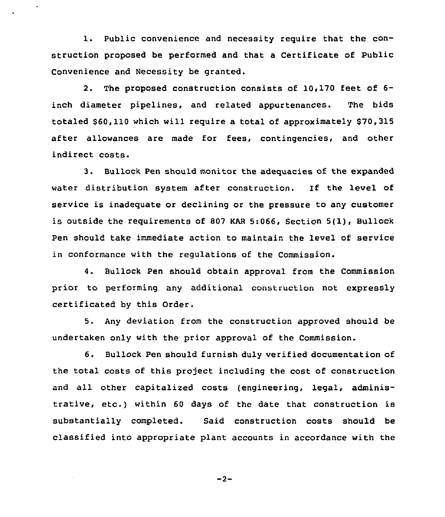1. public convenience and necessity require that the construction proposed be performed and that a Certificate of Public Convenience and Necessity be granted.

2. The proposed construction consists of 10,170 feet of 6 inch diameter pipelines, and related appurtenances. The bids totaled \$60,110 which will require a total of approximately \$70,315 after allowances are made for fees, contingencies, and other indirect costs.

3. Bullock Pen should monitor the adequacies of the expanded water distribution system after construction. If the level of service is inadequate or declining or the pressure to any customer is outside the requirements of 807 KAR 5:066, Section 5(1), Bullock Pen should take immediate action to maintain the level of service in conformance with the regulations of the Commission.

4. Bullock Pen should obtain approval from the Commission prior to performing any additional construction not expressly certificated by this Order.

5. Any deviation from the construction approved should be undertaken only with the prior approval of the Commission.

6. Bullock Pen should furnish duly verified documentation of the total costs of this project including the cost of construction and all other capitalized costs (engineering, legal, administrative, etc.) within <sup>60</sup> days of the date that construction is substantially completed. Said construction costs should be classified into appropriate plant accounts in accordance with the

$$
-2
$$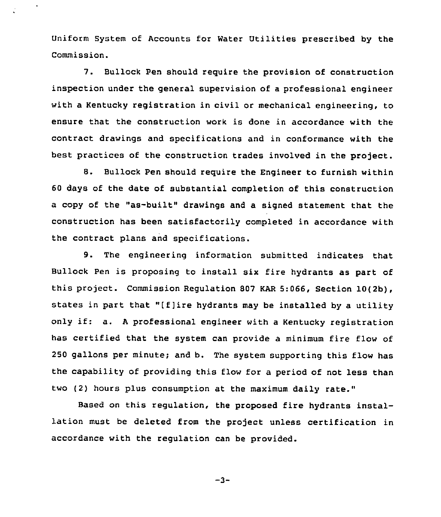Uniform System of Accounts for Water Utilities prescribed by the Commission.

7. Bullock Pen should require the provision of construction inspection under the general supervision of a professional engineer with a Kentucky registration in civil or mechanical engineering, to ensure that the construction work is done in accordance with the contract drawings and specifications and in conformance with the best practices of the construction trades involved in the project.

8. Bullock Pen should require the Engineer to furnish within 60 days of the date of substantial completion of this construction a copy of the "as-built" drawings and a signed statement that the construction has been satisfactorily completed in accordance with the contract plans and specifications.

9. The engineering information submitted indicates that Bullock Pen is proposing to install six fire hydrants as part of this project. Commission Regulation 807 KAR 5:066, Section 10(2b), states in part that "[f]ire hydrants may be installed by <sup>a</sup> utility only if: a. <sup>A</sup> professional engineer with <sup>a</sup> Kentucky registration has certified that the system can provide a minimum fire flow of 250 gallons per minute; and b. The system supporting this flow has the capability of providing this flow for a period of not less than two (2) hours plus consumption at the maximum daily rate."

Based on this regulation, the proposed fire hydrants installation must be deleted from the project unless certification in accordance with the regulation can be provided.

-3-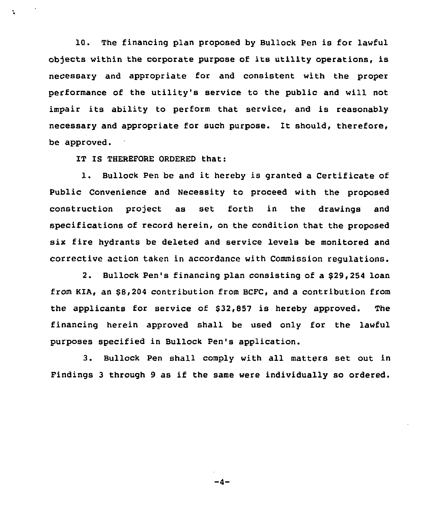10. The financing plan proposed by Bullock Pen is for lawful objects within the corporate purpose of its utility operations, is necessary and appropriate for and consistent with the proper performance of the utility's service to the public and will not impair its ability to perform that service, and is reasonably necessary and appropriate for such purpose. It should, therefore, be approved.

IT IS THEREFORE ORDERED that:

N

1. Bullock Pen be and it hereby is granted <sup>a</sup> Certificate of Public Convenience and Necessity to proceed with the proposed construction project as set forth in the drawings and specifications of record herein, on the condition that the proposed six fire hydrants be deleted and service levels be monitored and corrective action taken in accordance with Commission regulations.

2. Bullock Pen's financing plan consisting of a \$29,254 loan from KIA, an 88,204 contribution from BCFC, and a contribution from the applicants for service of 832,857 is hereby approved. The financing herein approved shall be used only for the lawful purposes specified in Bullock Pen's application.

3. Bullock Pen shall comply with all matters set out in Findings <sup>3</sup> through <sup>9</sup> as if the same were individually so ordered.

 $-4-$